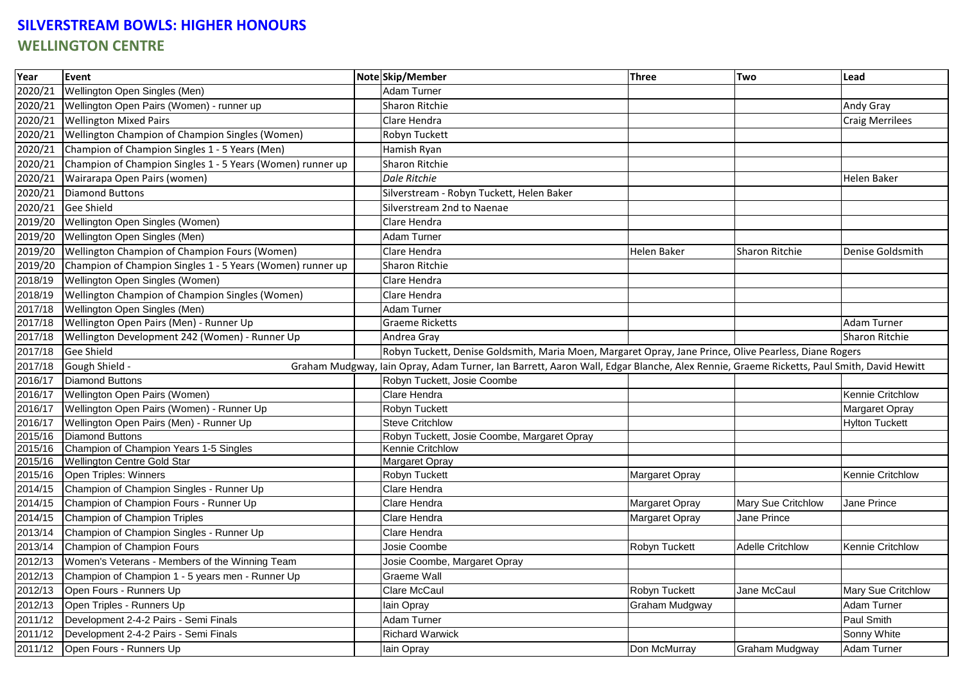## **SILVERSTREAM BOWLS: HIGHER HONOURS WELLINGTON CENTRE**

| Year    | Event                                                                                                                                                     |  | Note Skip/Member                                                                                       | <b>Three</b>   | Two                     | Lead                    |
|---------|-----------------------------------------------------------------------------------------------------------------------------------------------------------|--|--------------------------------------------------------------------------------------------------------|----------------|-------------------------|-------------------------|
| 2020/21 | Wellington Open Singles (Men)                                                                                                                             |  | <b>Adam Turner</b>                                                                                     |                |                         |                         |
| 2020/21 | Wellington Open Pairs (Women) - runner up                                                                                                                 |  | Sharon Ritchie                                                                                         |                |                         | Andy Gray               |
| 2020/21 | <b>Wellington Mixed Pairs</b>                                                                                                                             |  | Clare Hendra                                                                                           |                |                         | <b>Craig Merrilees</b>  |
| 2020/21 | Wellington Champion of Champion Singles (Women)                                                                                                           |  | Robyn Tuckett                                                                                          |                |                         |                         |
| 2020/21 | Champion of Champion Singles 1 - 5 Years (Men)                                                                                                            |  | Hamish Ryan                                                                                            |                |                         |                         |
| 2020/21 | Champion of Champion Singles 1 - 5 Years (Women) runner up                                                                                                |  | Sharon Ritchie                                                                                         |                |                         |                         |
| 2020/21 | Wairarapa Open Pairs (women)                                                                                                                              |  | <b>Dale Ritchie</b>                                                                                    |                |                         | Helen Baker             |
| 2020/21 | <b>Diamond Buttons</b>                                                                                                                                    |  | Silverstream - Robyn Tuckett, Helen Baker                                                              |                |                         |                         |
| 2020/21 | Gee Shield                                                                                                                                                |  | Silverstream 2nd to Naenae                                                                             |                |                         |                         |
| 2019/20 | Wellington Open Singles (Women)                                                                                                                           |  | Clare Hendra                                                                                           |                |                         |                         |
| 2019/20 | Wellington Open Singles (Men)                                                                                                                             |  | <b>Adam Turner</b>                                                                                     |                |                         |                         |
| 2019/20 | Wellington Champion of Champion Fours (Women)                                                                                                             |  | Clare Hendra                                                                                           | Helen Baker    | <b>Sharon Ritchie</b>   | Denise Goldsmith        |
| 2019/20 | Champion of Champion Singles 1 - 5 Years (Women) runner up                                                                                                |  | Sharon Ritchie                                                                                         |                |                         |                         |
| 2018/19 | Wellington Open Singles (Women)                                                                                                                           |  | Clare Hendra                                                                                           |                |                         |                         |
| 2018/19 | Wellington Champion of Champion Singles (Women)                                                                                                           |  | Clare Hendra                                                                                           |                |                         |                         |
| 2017/18 | Wellington Open Singles (Men)                                                                                                                             |  | Adam Turner                                                                                            |                |                         |                         |
| 2017/18 | Wellington Open Pairs (Men) - Runner Up                                                                                                                   |  | Graeme Ricketts                                                                                        |                |                         | Adam Turner             |
| 2017/18 | Wellington Development 242 (Women) - Runner Up                                                                                                            |  | Andrea Gray                                                                                            |                |                         | Sharon Ritchie          |
| 2017/18 | Gee Shield                                                                                                                                                |  | Robyn Tuckett, Denise Goldsmith, Maria Moen, Margaret Opray, Jane Prince, Olive Pearless, Diane Rogers |                |                         |                         |
| 2017/18 | Gough Shield -<br>Graham Mudgway, Iain Opray, Adam Turner, Ian Barrett, Aaron Wall, Edgar Blanche, Alex Rennie, Graeme Ricketts, Paul Smith, David Hewitt |  |                                                                                                        |                |                         |                         |
| 2016/17 | <b>Diamond Buttons</b>                                                                                                                                    |  | Robyn Tuckett, Josie Coombe                                                                            |                |                         |                         |
| 2016/17 | Wellington Open Pairs (Women)                                                                                                                             |  | Clare Hendra                                                                                           |                |                         | <b>Kennie Critchlow</b> |
| 2016/17 | Wellington Open Pairs (Women) - Runner Up                                                                                                                 |  | Robyn Tuckett                                                                                          |                |                         | Margaret Opray          |
| 2016/17 | Wellington Open Pairs (Men) - Runner Up                                                                                                                   |  | <b>Steve Critchlow</b>                                                                                 |                |                         | <b>Hylton Tuckett</b>   |
| 2015/16 | <b>Diamond Buttons</b>                                                                                                                                    |  | Robyn Tuckett, Josie Coombe, Margaret Opray                                                            |                |                         |                         |
| 2015/16 | Champion of Champion Years 1-5 Singles                                                                                                                    |  | Kennie Critchlow                                                                                       |                |                         |                         |
| 2015/16 | <b>Wellington Centre Gold Star</b>                                                                                                                        |  | Margaret Opray                                                                                         |                |                         |                         |
| 2015/16 | Open Triples: Winners                                                                                                                                     |  | Robyn Tuckett                                                                                          | Margaret Opray |                         | Kennie Critchlow        |
| 2014/15 | Champion of Champion Singles - Runner Up                                                                                                                  |  | Clare Hendra                                                                                           |                |                         |                         |
| 2014/15 | Champion of Champion Fours - Runner Up                                                                                                                    |  | Clare Hendra                                                                                           | Margaret Opray | Mary Sue Critchlow      | Jane Prince             |
| 2014/15 | Champion of Champion Triples                                                                                                                              |  | Clare Hendra                                                                                           | Margaret Opray | Jane Prince             |                         |
| 2013/14 | Champion of Champion Singles - Runner Up                                                                                                                  |  | Clare Hendra                                                                                           |                |                         |                         |
| 2013/14 | Champion of Champion Fours                                                                                                                                |  | Josie Coombe                                                                                           | Robyn Tuckett  | <b>Adelle Critchlow</b> | Kennie Critchlow        |
| 2012/13 | Women's Veterans - Members of the Winning Team                                                                                                            |  | Josie Coombe, Margaret Opray                                                                           |                |                         |                         |
| 2012/13 | Champion of Champion 1 - 5 years men - Runner Up                                                                                                          |  | <b>Graeme Wall</b>                                                                                     |                |                         |                         |
| 2012/13 | Open Fours - Runners Up                                                                                                                                   |  | Clare McCaul                                                                                           | Robyn Tuckett  | Jane McCaul             | Mary Sue Critchlow      |
| 2012/13 | Open Triples - Runners Up                                                                                                                                 |  | lain Opray                                                                                             | Graham Mudgway |                         | Adam Turner             |
| 2011/12 | Development 2-4-2 Pairs - Semi Finals                                                                                                                     |  | Adam Turner                                                                                            |                |                         | Paul Smith              |
| 2011/12 | Development 2-4-2 Pairs - Semi Finals                                                                                                                     |  | <b>Richard Warwick</b>                                                                                 |                |                         | Sonny White             |
| 2011/12 | Open Fours - Runners Up                                                                                                                                   |  | lain Opray                                                                                             | Don McMurray   | Graham Mudgway          | <b>Adam Turner</b>      |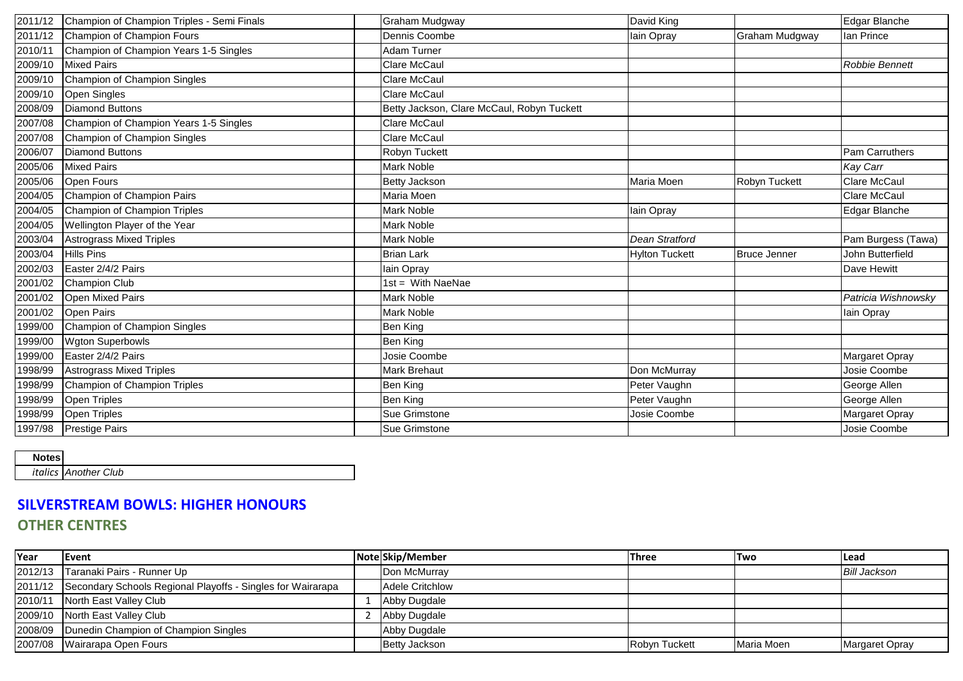| 2011/12 | Champion of Champion Triples - Semi Finals | Graham Mudgway                             | David King            |                     | Edgar Blanche         |
|---------|--------------------------------------------|--------------------------------------------|-----------------------|---------------------|-----------------------|
| 2011/12 | Champion of Champion Fours                 | Dennis Coombe                              | lain Opray            | Graham Mudgway      | lan Prince            |
| 2010/11 | Champion of Champion Years 1-5 Singles     | Adam Turner                                |                       |                     |                       |
| 2009/10 | <b>Mixed Pairs</b>                         | Clare McCaul                               |                       |                     | <b>Robbie Bennett</b> |
| 2009/10 | Champion of Champion Singles               | Clare McCaul                               |                       |                     |                       |
| 2009/10 | <b>Open Singles</b>                        | Clare McCaul                               |                       |                     |                       |
| 2008/09 | Diamond Buttons                            | Betty Jackson, Clare McCaul, Robyn Tuckett |                       |                     |                       |
| 2007/08 | Champion of Champion Years 1-5 Singles     | <b>Clare McCaul</b>                        |                       |                     |                       |
| 2007/08 | Champion of Champion Singles               | <b>Clare McCaul</b>                        |                       |                     |                       |
| 2006/07 | Diamond Buttons                            | Robyn Tuckett                              |                       |                     | Pam Carruthers        |
| 2005/06 | <b>Mixed Pairs</b>                         | Mark Noble                                 |                       |                     | Kay Carr              |
| 2005/06 | <b>Open Fours</b>                          | Betty Jackson                              | Maria Moen            | Robyn Tuckett       | <b>Clare McCaul</b>   |
| 2004/05 | Champion of Champion Pairs                 | Maria Moen                                 |                       |                     | <b>Clare McCaul</b>   |
| 2004/05 | Champion of Champion Triples               | Mark Noble                                 | lain Opray            |                     | Edgar Blanche         |
| 2004/05 | Wellington Player of the Year              | Mark Noble                                 |                       |                     |                       |
| 2003/04 | <b>Astrograss Mixed Triples</b>            | Mark Noble                                 | <b>Dean Stratford</b> |                     | Pam Burgess (Tawa)    |
| 2003/04 | <b>Hills Pins</b>                          | <b>Brian Lark</b>                          | <b>Hylton Tuckett</b> | <b>Bruce Jenner</b> | John Butterfield      |
| 2002/03 | Easter 2/4/2 Pairs                         | lain Opray                                 |                       |                     | Dave Hewitt           |
| 2001/02 | <b>Champion Club</b>                       | $1st = With NaeNae$                        |                       |                     |                       |
| 2001/02 | <b>Open Mixed Pairs</b>                    | Mark Noble                                 |                       |                     | Patricia Wishnowsky   |
| 2001/02 | <b>Open Pairs</b>                          | Mark Noble                                 |                       |                     | lain Opray            |
| 1999/00 | Champion of Champion Singles               | <b>Ben King</b>                            |                       |                     |                       |
| 1999/00 | <b>Wgton Superbowls</b>                    | Ben King                                   |                       |                     |                       |
| 1999/00 | Easter 2/4/2 Pairs                         | Josie Coombe                               |                       |                     | Margaret Opray        |
| 1998/99 | <b>Astrograss Mixed Triples</b>            | Mark Brehaut                               | Don McMurray          |                     | Josie Coombe          |
| 1998/99 | Champion of Champion Triples               | Ben King                                   | Peter Vaughn          |                     | George Allen          |
| 1998/99 | <b>Open Triples</b>                        | Ben King                                   | Peter Vaughn          |                     | George Allen          |
| 1998/99 | <b>Open Triples</b>                        | Sue Grimstone                              | Josie Coombe          |                     | Margaret Opray        |
| 1997/98 | <b>Prestige Pairs</b>                      | Sue Grimstone                              |                       |                     | Josie Coombe          |

### **Notes**

*italics Another Club*

# **SILVERSTREAM BOWLS: HIGHER HONOURS OTHER CENTRES**

| <b>IYear</b> | <b>I</b> Event                                                      | NotelSkip/Member       | <b>Three</b>  | <b>ITwo</b> | Lead                  |
|--------------|---------------------------------------------------------------------|------------------------|---------------|-------------|-----------------------|
|              | 2012/13 Taranaki Pairs - Runner Up                                  | Don McMurray           |               |             | Bill Jackson          |
|              | 2011/12 Secondary Schools Regional Playoffs - Singles for Wairarapa | <b>Adele Critchlow</b> |               |             |                       |
| 2010/11      | North East Valley Club                                              | Abby Dugdale           |               |             |                       |
|              | 2009/10 North East Valley Club                                      | Abby Dugdale           |               |             |                       |
|              | 2008/09 Dunedin Champion of Champion Singles                        | Abby Dugdale           |               |             |                       |
|              | 2007/08 Wairarapa Open Fours                                        | <b>Betty Jackson</b>   | Robyn Tuckett | Maria Moen  | <b>Margaret Opray</b> |